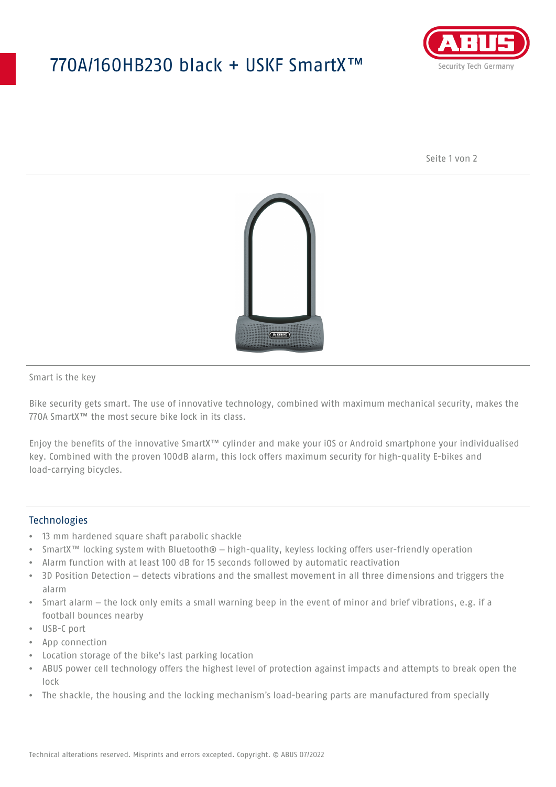## 770A/160HB230 black + USKF SmartX™



Seite 1 von 2



Smart is the key

Bike security gets smart. The use of innovative technology, combined with maximum mechanical security, makes the 770A SmartX™ the most secure bike lock in its class.

Enjoy the benefits of the innovative SmartX™ cylinder and make your iOS or Android smartphone your individualised key. Combined with the proven 100dB alarm, this lock offers maximum security for high-quality E-bikes and load-carrying bicycles.

## **Technologies**

- 13 mm hardened square shaft parabolic shackle
- SmartX™ locking system with Bluetooth® high-quality, keyless locking offers user-friendly operation
- Alarm function with at least 100 dB for 15 seconds followed by automatic reactivation
- 3D Position Detection detects vibrations and the smallest movement in all three dimensions and triggers the alarm
- Smart alarm the lock only emits a small warning beep in the event of minor and brief vibrations, e.g. if a football bounces nearby
- USB-C port
- App connection
- Location storage of the bike's last parking location
- ABUS power cell technology offers the highest level of protection against impacts and attempts to break open the lock
- The shackle, the housing and the locking mechanism's load-bearing parts are manufactured from specially